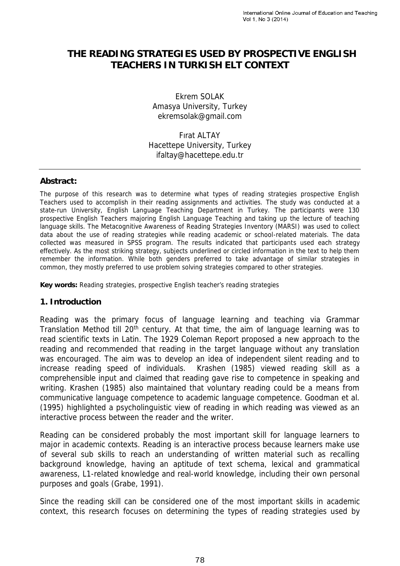# **THE READING STRATEGIES USED BY PROSPECTIVE ENGLISH TEACHERS IN TURKISH ELT CONTEXT**

Ekrem SOLAK Amasya University, Turkey ekremsolak@gmail.com

Fırat ALTAY Hacettepe University, Turkey ifaltay@hacettepe.edu.tr

#### **Abstract:**

The purpose of this research was to determine what types of reading strategies prospective English Teachers used to accomplish in their reading assignments and activities. The study was conducted at a state-run University, English Language Teaching Department in Turkey. The participants were 130 prospective English Teachers majoring English Language Teaching and taking up the lecture of teaching language skills. The Metacognitive Awareness of Reading Strategies Inventory (MARSI) was used to collect data about the use of reading strategies while reading academic or school-related materials. The data collected was measured in SPSS program. The results indicated that participants used each strategy effectively. As the most striking strategy, subjects underlined or circled information in the text to help them remember the information. While both genders preferred to take advantage of similar strategies in common, they mostly preferred to use problem solving strategies compared to other strategies.

**Key words:** Reading strategies, prospective English teacher's reading strategies

#### **1. Introduction**

Reading was the primary focus of language learning and teaching via Grammar Translation Method till 20<sup>th</sup> century. At that time, the aim of language learning was to read scientific texts in Latin. The 1929 Coleman Report proposed a new approach to the reading and recommended that reading in the target language without any translation was encouraged. The aim was to develop an idea of independent silent reading and to increase reading speed of individuals. Krashen (1985) viewed reading skill as a comprehensible input and claimed that reading gave rise to competence in speaking and writing. Krashen (1985) also maintained that voluntary reading could be a means from communicative language competence to academic language competence. Goodman et al. (1995) highlighted a psycholinguistic view of reading in which reading was viewed as an interactive process between the reader and the writer.

Reading can be considered probably the most important skill for language learners to major in academic contexts. Reading is an interactive process because learners make use of several sub skills to reach an understanding of written material such as recalling background knowledge, having an aptitude of text schema, lexical and grammatical awareness, L1-related knowledge and real-world knowledge, including their own personal purposes and goals (Grabe, 1991).

Since the reading skill can be considered one of the most important skills in academic context, this research focuses on determining the types of reading strategies used by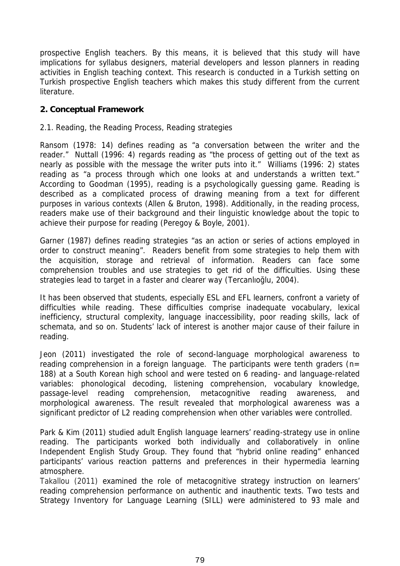prospective English teachers. By this means, it is believed that this study will have implications for syllabus designers, material developers and lesson planners in reading activities in English teaching context. This research is conducted in a Turkish setting on Turkish prospective English teachers which makes this study different from the current literature.

#### **2. Conceptual Framework**

#### *2.1. Reading, the Reading Process, Reading strategies*

Ransom (1978: 14) defines reading as "a conversation between the writer and the reader." Nuttall (1996: 4) regards reading as "the process of getting out of the text as nearly as possible with the message the writer puts into it." Williams (1996: 2) states reading as "a process through which one looks at and understands a written text." According to Goodman (1995), reading is a psychologically guessing game. Reading is described as a complicated process of drawing meaning from a text for different purposes in various contexts (Allen & Bruton, 1998). Additionally, in the reading process, readers make use of their background and their linguistic knowledge about the topic to achieve their purpose for reading (Peregoy & Boyle, 2001).

Garner (1987) defines reading strategies "as an action or series of actions employed in order to construct meaning". Readers benefit from some strategies to help them with the acquisition, storage and retrieval of information. Readers can face some comprehension troubles and use strategies to get rid of the difficulties. Using these strategies lead to target in a faster and clearer way (Tercanlio lu, 2004).

It has been observed that students, especially ESL and EFL learners, confront a variety of difficulties while reading. These difficulties comprise inadequate vocabulary, lexical inefficiency, structural complexity, language inaccessibility, poor reading skills, lack of schemata, and so on. Students' lack of interest is another major cause of their failure in reading.

Jeon (2011) investigated the role of second-language morphological awareness to reading comprehension in a foreign language. The participants were tenth graders (*n*= 188) at a South Korean high school and were tested on 6 reading- and language-related variables: phonological decoding, listening comprehension, vocabulary knowledge, passage-level reading comprehension, metacognitive reading awareness, and morphological awareness. The result revealed that morphological awareness was a significant predictor of L2 reading comprehension when other variables were controlled.

Park & Kim (2011) studied adult English language learners' reading-strategy use in online reading. The participants worked both individually and collaboratively in online Independent English Study Group. They found that "hybrid online reading" enhanced participants' various reaction patterns and preferences in their hypermedia learning atmosphere.

Takallou (2011) examined the role of metacognitive strategy instruction on learners' reading comprehension performance on authentic and inauthentic texts. Two tests and Strategy Inventory for Language Learning (SILL) were administered to 93 male and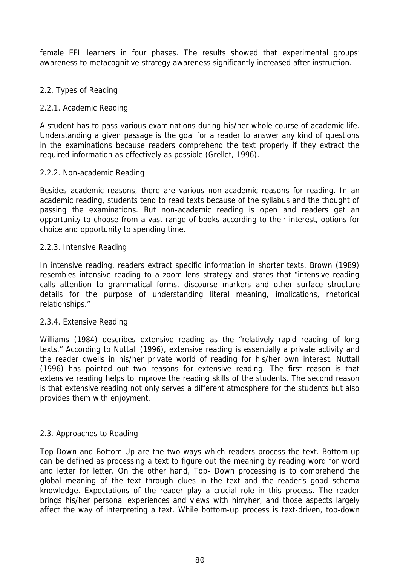female EFL learners in four phases. The results showed that experimental groups' awareness to metacognitive strategy awareness significantly increased after instruction.

## *2.2. Types of Reading*

# *2.2.1. Academic Reading*

A student has to pass various examinations during his/her whole course of academic life. Understanding a given passage is the goal for a reader to answer any kind of questions in the examinations because readers comprehend the text properly if they extract the required information as effectively as possible (Grellet, 1996).

## *2.2.2. Non-academic Reading*

Besides academic reasons, there are various non-academic reasons for reading. In an academic reading, students tend to read texts because of the syllabus and the thought of passing the examinations. But non-academic reading is open and readers get an opportunity to choose from a vast range of books according to their interest, options for choice and opportunity to spending time.

#### *2.2.3. Intensive Reading*

In intensive reading, readers extract specific information in shorter texts. Brown (1989) resembles intensive reading to a zoom lens strategy and states that "intensive reading calls attention to grammatical forms, discourse markers and other surface structure details for the purpose of understanding literal meaning, implications, rhetorical relationships."

## *2.3.4. Extensive Reading*

Williams (1984) describes extensive reading as the "relatively rapid reading of long texts." According to Nuttall (1996), extensive reading is essentially a private activity and the reader dwells in his/her private world of reading for his/her own interest. Nuttall (1996) has pointed out two reasons for extensive reading. The first reason is that extensive reading helps to improve the reading skills of the students. The second reason is that extensive reading not only serves a different atmosphere for the students but also provides them with enjoyment.

## *2.3. Approaches to Reading*

Top-Down and Bottom-Up are the two ways which readers process the text. Bottom-up can be defined as processing a text to figure out the meaning by reading word for word and letter for letter. On the other hand, Top- Down processing is to comprehend the global meaning of the text through clues in the text and the reader's good schema knowledge. Expectations of the reader play a crucial role in this process. The reader brings his/her personal experiences and views with him/her, and those aspects largely affect the way of interpreting a text. While bottom-up process is text-driven, top-down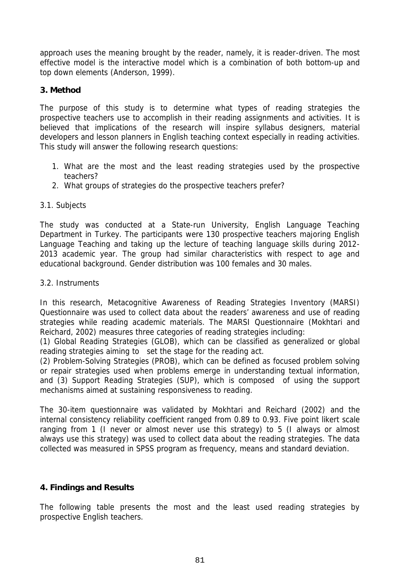approach uses the meaning brought by the reader, namely, it is reader-driven. The most effective model is the interactive model which is a combination of both bottom-up and top down elements (Anderson, 1999).

#### **3. Method**

The purpose of this study is to determine what types of reading strategies the prospective teachers use to accomplish in their reading assignments and activities. It is believed that implications of the research will inspire syllabus designers, material developers and lesson planners in English teaching context especially in reading activities. This study will answer the following research questions:

- 1. What are the most and the least reading strategies used by the prospective teachers?
- 2. What groups of strategies do the prospective teachers prefer?

#### *3.1. Subjects*

The study was conducted at a State-run University, English Language Teaching Department in Turkey. The participants were 130 prospective teachers majoring English Language Teaching and taking up the lecture of teaching language skills during 2012- 2013 academic year. The group had similar characteristics with respect to age and educational background. Gender distribution was 100 females and 30 males.

#### *3.2. Instruments*

In this research*, Metacognitive Awareness of Reading Strategies Inventory (MARSI) Questionnaire* was used to collect data about the readers' awareness and use of reading strategies while reading academic materials. The MARSI Questionnaire (Mokhtari and Reichard, 2002) measures three categories of reading strategies including:

(1) Global Reading Strategies (GLOB), which can be classified as generalized or global reading strategies aiming to set the stage for the reading act.

(2) Problem-Solving Strategies (PROB), which can be defined as focused problem solving or repair strategies used when problems emerge in understanding textual information, and (3) Support Reading Strategies (SUP), which is composed of using the support mechanisms aimed at sustaining responsiveness to reading.

The 30-item questionnaire was validated by Mokhtari and Reichard (2002) and the internal consistency reliability coefficient ranged from 0.89 to 0.93. Five point likert scale ranging from 1 (I never or almost never use this strategy) to 5 (I always or almost always use this strategy) was used to collect data about the reading strategies. The data collected was measured in SPSS program as frequency, means and standard deviation.

## **4. Findings and Results**

The following table presents the most and the least used reading strategies by prospective English teachers.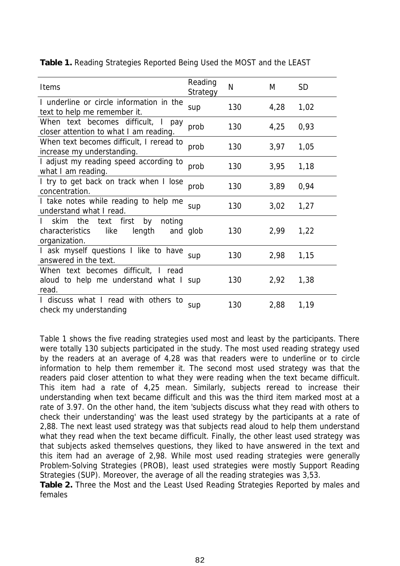| Items                                                                                     | Reading<br>Strategy | N   | M    | <b>SD</b> |
|-------------------------------------------------------------------------------------------|---------------------|-----|------|-----------|
| I underline or circle information in the<br>text to help me remember it.                  | sup                 | 130 | 4,28 | 1,02      |
| When text becomes difficult, I<br>pay<br>closer attention to what I am reading.           | prob                | 130 | 4,25 | 0,93      |
| When text becomes difficult, I reread to<br>increase my understanding.                    | prob                | 130 | 3,97 | 1,05      |
| I adjust my reading speed according to<br>what I am reading.                              | prob                | 130 | 3,95 | 1,18      |
| I try to get back on track when I lose<br>concentration.                                  | prob                | 130 | 3,89 | 0,94      |
| I take notes while reading to help me<br>understand what I read.                          | sup                 | 130 | 3,02 | 1,27      |
| skim the text first<br>by<br>noting<br>characteristics<br>like<br>length<br>organization. | and glob            | 130 | 2,99 | 1,22      |
| I ask myself questions I like to have<br>answered in the text.                            | sup                 | 130 | 2,98 | 1,15      |
| When text becomes difficult, I read<br>aloud to help me understand what I sup<br>read.    |                     | 130 | 2,92 | 1,38      |
| I discuss what I read with others to<br>check my understanding                            | sup                 | 130 | 2,88 | 1,19      |

**Table 1.** Reading Strategies Reported Being Used the MOST and the LEAST

Table 1 shows the five reading strategies used most and least by the participants. There were totally 130 subjects participated in the study. The most used reading strategy used by the readers at an average of 4,28 was that readers were to underline or to circle information to help them remember it. The second most used strategy was that the readers paid closer attention to what they were reading when the text became difficult. This item had a rate of 4,25 mean. Similarly, subjects reread to increase their understanding when text became difficult and this was the third item marked most at a rate of 3.97. On the other hand, the item 'subjects discuss what they read with others to check their understanding' was the least used strategy by the participants at a rate of 2,88. The next least used strategy was that subjects read aloud to help them understand what they read when the text became difficult. Finally, the other least used strategy was that subjects asked themselves questions, they liked to have answered in the text and this item had an average of 2,98. While most used reading strategies were generally Problem-Solving Strategies (PROB), least used strategies were mostly Support Reading Strategies (SUP). Moreover, the average of all the reading strategies was 3,53.

**Table 2.** Three the Most and the Least Used Reading Strategies Reported by males and females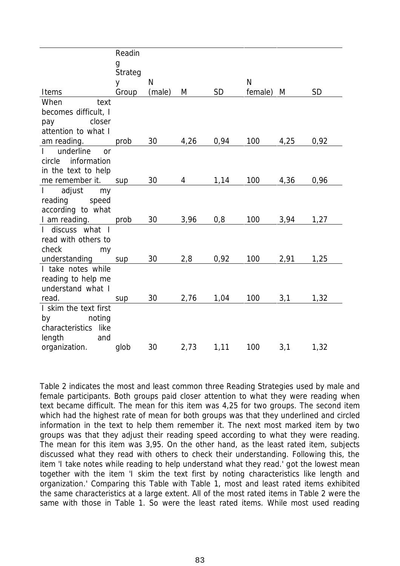|                                        | Readin  |              |      |           |         |      |           |
|----------------------------------------|---------|--------------|------|-----------|---------|------|-----------|
|                                        | g       |              |      |           |         |      |           |
|                                        | Strateg |              |      |           |         |      |           |
|                                        | y       | $\mathsf{N}$ |      |           | N       |      |           |
| Items                                  | Group   | (male)       | M    | <b>SD</b> | female) | M    | <b>SD</b> |
| When<br>text                           |         |              |      |           |         |      |           |
| becomes difficult, I                   |         |              |      |           |         |      |           |
| pay<br>closer                          |         |              |      |           |         |      |           |
| attention to what I                    |         |              |      |           |         |      |           |
| am reading.                            | prob    | 30           | 4,26 | 0,94      | 100     | 4,25 | 0,92      |
| underline<br>$\mathbf{L}$<br><b>or</b> |         |              |      |           |         |      |           |
| circle information                     |         |              |      |           |         |      |           |
| in the text to help                    |         |              |      |           |         |      |           |
| me remember it.                        | sup     | 30           | 4    | 1,14      | 100     | 4,36 | 0,96      |
| adjust<br>$\mathbf{L}$<br>my           |         |              |      |           |         |      |           |
| reading<br>speed                       |         |              |      |           |         |      |           |
| according to what                      |         |              |      |           |         |      |           |
| I am reading.                          | prob    | 30           | 3,96 | 0,8       | 100     | 3,94 | 1,27      |
| I discuss what I                       |         |              |      |           |         |      |           |
| read with others to                    |         |              |      |           |         |      |           |
| check<br>my                            |         |              |      |           |         |      |           |
| understanding                          | sup     | 30           | 2,8  | 0,92      | 100     | 2,91 | 1,25      |
| I take notes while                     |         |              |      |           |         |      |           |
| reading to help me                     |         |              |      |           |         |      |           |
| understand what I                      |         |              |      |           |         |      |           |
| read.                                  | sup     | 30           | 2,76 | 1,04      | 100     | 3,1  | 1,32      |
| I skim the text first                  |         |              |      |           |         |      |           |
| noting<br>by                           |         |              |      |           |         |      |           |
| characteristics like                   |         |              |      |           |         |      |           |
| length<br>and                          |         |              |      |           |         |      |           |
| organization.                          | glob    | 30           | 2,73 | 1,11      | 100     | 3,1  | 1,32      |

Table 2 indicates the most and least common three Reading Strategies used by male and female participants. Both groups paid closer attention to what they were reading when text became difficult. The mean for this item was 4,25 for two groups. The second item which had the highest rate of mean for both groups was that they underlined and circled information in the text to help them remember it. The next most marked item by two groups was that they adjust their reading speed according to what they were reading. The mean for this item was 3,95. On the other hand, as the least rated item, subjects discussed what they read with others to check their understanding. Following this, the item 'I take notes while reading to help understand what they read.' got the lowest mean together with the item 'I skim the text first by noting characteristics like length and organization.' Comparing this Table with Table 1, most and least rated items exhibited the same characteristics at a large extent. All of the most rated items in Table 2 were the same with those in Table 1. So were the least rated items. While most used reading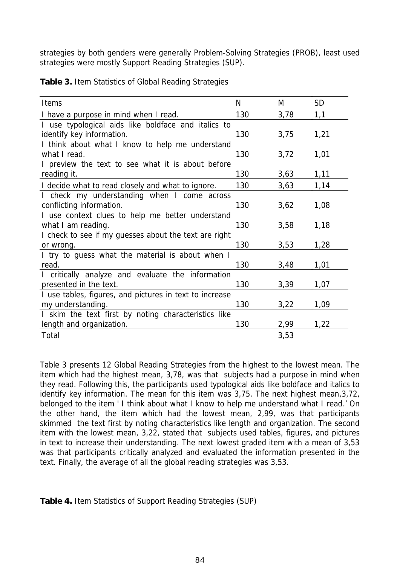strategies by both genders were generally Problem-Solving Strategies (PROB), least used strategies were mostly Support Reading Strategies (SUP).

|  |  |  | Table 3. Item Statistics of Global Reading Strategies |  |
|--|--|--|-------------------------------------------------------|--|
|  |  |  |                                                       |  |

| Items                                                   | N   | M    | <b>SD</b> |
|---------------------------------------------------------|-----|------|-----------|
| I have a purpose in mind when I read.                   | 130 | 3,78 | 1,1       |
| I use typological aids like boldface and italics to     |     |      |           |
| identify key information.                               | 130 | 3,75 | 1,21      |
| I think about what I know to help me understand         |     |      |           |
| what I read.                                            | 130 | 3,72 | 1,01      |
| I preview the text to see what it is about before       |     |      |           |
| reading it.                                             | 130 | 3,63 | 1,11      |
| I decide what to read closely and what to ignore.       | 130 | 3,63 | 1,14      |
| I check my understanding when I come across             |     |      |           |
| conflicting information.                                | 130 | 3,62 | 1,08      |
| I use context clues to help me better understand        |     |      |           |
| what I am reading.                                      | 130 | 3,58 | 1,18      |
| I check to see if my guesses about the text are right   |     |      |           |
| or wrong.                                               | 130 | 3,53 | 1,28      |
| I try to guess what the material is about when I        |     |      |           |
| read.                                                   | 130 | 3,48 | 1,01      |
| I critically analyze and evaluate the information       |     |      |           |
| presented in the text.                                  | 130 | 3,39 | 1,07      |
| I use tables, figures, and pictures in text to increase |     |      |           |
| my understanding.                                       | 130 | 3,22 | 1,09      |
| I skim the text first by noting characteristics like    |     |      |           |
| length and organization.                                | 130 | 2,99 | 1,22      |
| Total                                                   |     | 3,53 |           |

Table 3 presents 12 Global Reading Strategies from the highest to the lowest mean. The item which had the highest mean, 3,78, was that subjects had a purpose in mind when they read. Following this, the participants used typological aids like boldface and italics to identify key information. The mean for this item was 3,75. The next highest mean,3,72, belonged to the item ' I think about what I know to help me understand what I read.' On the other hand, the item which had the lowest mean, 2,99, was that participants skimmed the text first by noting characteristics like length and organization. The second item with the lowest mean, 3,22, stated that subjects used tables, figures, and pictures in text to increase their understanding. The next lowest graded item with a mean of 3,53 was that participants critically analyzed and evaluated the information presented in the text. Finally, the average of all the global reading strategies was 3,53.

**Table 4.** Item Statistics of Support Reading Strategies (SUP)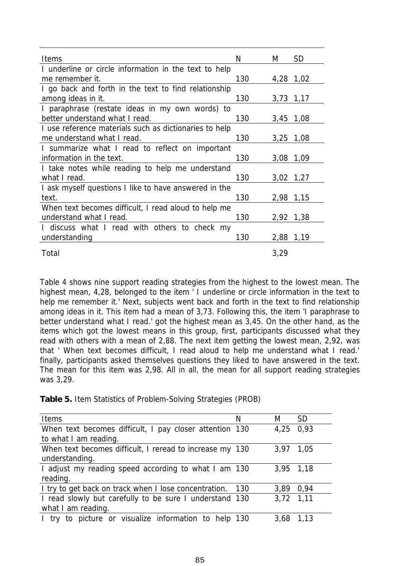| <b>SD</b><br>Items<br>N<br>M<br>I underline or circle information in the text to help<br>130<br>4,28 1,02<br>me remember it.<br>I go back and forth in the text to find relationship<br>among ideas in it.<br>130<br>3,73 1,17<br>I paraphrase (restate ideas in my own words) to<br>better understand what I read.<br>130<br>3,45<br>1,08<br>I use reference materials such as dictionaries to help<br>130<br>me understand what I read.<br>3,25<br>1,08<br>I summarize what I read to reflect on important<br>information in the text.<br>130<br>3,08<br>1,09<br>I take notes while reading to help me understand<br>130<br>what I read.<br>3,02 1,27<br>I ask myself questions I like to have answered in the<br>130<br>text.<br>2,98 1,15<br>When text becomes difficult, I read aloud to help me<br>understand what I read.<br>130<br>2,92 1,38<br>I discuss what I read with others to check my<br>130<br>understanding<br>2,88<br>1,19 |       |      |  |
|-----------------------------------------------------------------------------------------------------------------------------------------------------------------------------------------------------------------------------------------------------------------------------------------------------------------------------------------------------------------------------------------------------------------------------------------------------------------------------------------------------------------------------------------------------------------------------------------------------------------------------------------------------------------------------------------------------------------------------------------------------------------------------------------------------------------------------------------------------------------------------------------------------------------------------------------------|-------|------|--|
|                                                                                                                                                                                                                                                                                                                                                                                                                                                                                                                                                                                                                                                                                                                                                                                                                                                                                                                                               |       |      |  |
|                                                                                                                                                                                                                                                                                                                                                                                                                                                                                                                                                                                                                                                                                                                                                                                                                                                                                                                                               |       |      |  |
|                                                                                                                                                                                                                                                                                                                                                                                                                                                                                                                                                                                                                                                                                                                                                                                                                                                                                                                                               |       |      |  |
|                                                                                                                                                                                                                                                                                                                                                                                                                                                                                                                                                                                                                                                                                                                                                                                                                                                                                                                                               |       |      |  |
|                                                                                                                                                                                                                                                                                                                                                                                                                                                                                                                                                                                                                                                                                                                                                                                                                                                                                                                                               |       |      |  |
|                                                                                                                                                                                                                                                                                                                                                                                                                                                                                                                                                                                                                                                                                                                                                                                                                                                                                                                                               |       |      |  |
|                                                                                                                                                                                                                                                                                                                                                                                                                                                                                                                                                                                                                                                                                                                                                                                                                                                                                                                                               |       |      |  |
|                                                                                                                                                                                                                                                                                                                                                                                                                                                                                                                                                                                                                                                                                                                                                                                                                                                                                                                                               |       |      |  |
|                                                                                                                                                                                                                                                                                                                                                                                                                                                                                                                                                                                                                                                                                                                                                                                                                                                                                                                                               |       |      |  |
|                                                                                                                                                                                                                                                                                                                                                                                                                                                                                                                                                                                                                                                                                                                                                                                                                                                                                                                                               |       |      |  |
|                                                                                                                                                                                                                                                                                                                                                                                                                                                                                                                                                                                                                                                                                                                                                                                                                                                                                                                                               |       |      |  |
|                                                                                                                                                                                                                                                                                                                                                                                                                                                                                                                                                                                                                                                                                                                                                                                                                                                                                                                                               |       |      |  |
|                                                                                                                                                                                                                                                                                                                                                                                                                                                                                                                                                                                                                                                                                                                                                                                                                                                                                                                                               |       |      |  |
|                                                                                                                                                                                                                                                                                                                                                                                                                                                                                                                                                                                                                                                                                                                                                                                                                                                                                                                                               |       |      |  |
|                                                                                                                                                                                                                                                                                                                                                                                                                                                                                                                                                                                                                                                                                                                                                                                                                                                                                                                                               |       |      |  |
|                                                                                                                                                                                                                                                                                                                                                                                                                                                                                                                                                                                                                                                                                                                                                                                                                                                                                                                                               |       |      |  |
|                                                                                                                                                                                                                                                                                                                                                                                                                                                                                                                                                                                                                                                                                                                                                                                                                                                                                                                                               |       |      |  |
|                                                                                                                                                                                                                                                                                                                                                                                                                                                                                                                                                                                                                                                                                                                                                                                                                                                                                                                                               |       |      |  |
|                                                                                                                                                                                                                                                                                                                                                                                                                                                                                                                                                                                                                                                                                                                                                                                                                                                                                                                                               |       |      |  |
|                                                                                                                                                                                                                                                                                                                                                                                                                                                                                                                                                                                                                                                                                                                                                                                                                                                                                                                                               | Total | 3,29 |  |

Table 4 shows nine support reading strategies from the highest to the lowest mean. The highest mean, 4,28, belonged to the item ' I underline or circle information in the text to help me remember it.' Next, subjects went back and forth in the text to find relationship among ideas in it. This item had a mean of 3,73. Following this, the item 'I paraphrase to better understand what I read.' got the highest mean as 3,45. On the other hand, as the items which got the lowest means in this group, first, participants discussed what they read with others with a mean of 2,88. The next item getting the lowest mean, 2,92, was that ' When text becomes difficult, I read aloud to help me understand what I read.' finally, participants asked themselves questions they liked to have answered in the text. The mean for this item was 2,98. All in all, the mean for all support reading strategies was 3,29.

**Table 5.** Item Statistics of Problem-Solving Strategies (PROB)

| <b>Items</b>                                              | N | M         | <b>SD</b> |
|-----------------------------------------------------------|---|-----------|-----------|
| When text becomes difficult, I pay closer attention 130   |   | 4,25 0,93 |           |
| to what I am reading.                                     |   |           |           |
| When text becomes difficult, I reread to increase my 130  |   | 3,97      | 1,05      |
| understanding.                                            |   |           |           |
| I adjust my reading speed according to what I am 130      |   | 3,95 1,18 |           |
| reading.                                                  |   |           |           |
| I try to get back on track when I lose concentration. 130 |   | 3,89 0,94 |           |
| I read slowly but carefully to be sure I understand 130   |   | 3,72 1,11 |           |
| what I am reading.                                        |   |           |           |
| I try to picture or visualize information to help 130     |   | 3,68      | 1,13      |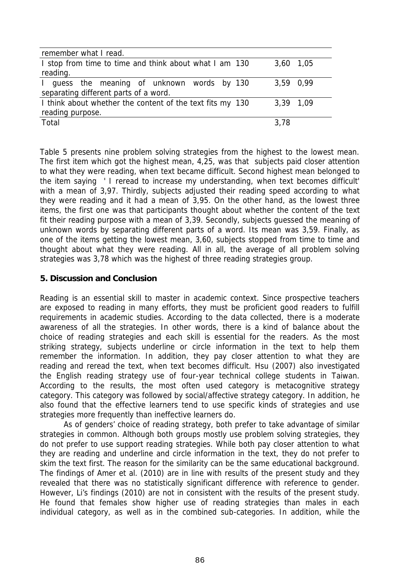| remember what I read.                                     |           |
|-----------------------------------------------------------|-----------|
| I stop from time to time and think about what I am 130    | 3,60 1,05 |
| reading.                                                  |           |
| I guess the meaning of unknown words by 130               | 3,59 0,99 |
| separating different parts of a word.                     |           |
| I think about whether the content of the text fits my 130 | 3,39 1,09 |
| reading purpose.                                          |           |
| Total                                                     | 3.78      |

Table 5 presents nine problem solving strategies from the highest to the lowest mean. The first item which got the highest mean, 4,25, was that subjects paid closer attention to what they were reading, when text became difficult. Second highest mean belonged to the item saying ' I reread to increase my understanding, when text becomes difficult' with a mean of 3,97. Thirdly, subjects adjusted their reading speed according to what they were reading and it had a mean of 3,95. On the other hand, as the lowest three items, the first one was that participants thought about whether the content of the text fit their reading purpose with a mean of 3,39. Secondly, subjects guessed the meaning of unknown words by separating different parts of a word. Its mean was 3,59. Finally, as one of the items getting the lowest mean, 3,60, subjects stopped from time to time and thought about what they were reading. All in all, the average of all problem solving strategies was 3,78 which was the highest of three reading strategies group.

#### **5. Discussion and Conclusion**

Reading is an essential skill to master in academic context. Since prospective teachers are exposed to reading in many efforts, they must be proficient good readers to fulfill requirements in academic studies. According to the data collected, there is a moderate awareness of all the strategies. In other words, there is a kind of balance about the choice of reading strategies and each skill is essential for the readers. As the most striking strategy, subjects underline or circle information in the text to help them remember the information. In addition, they pay closer attention to what they are reading and reread the text, when text becomes difficult. Hsu (2007) also investigated the English reading strategy use of four-year technical college students in Taiwan. According to the results, the most often used category is metacognitive strategy category. This category was followed by social/affective strategy category. In addition, he also found that the effective learners tend to use specific kinds of strategies and use strategies more frequently than ineffective learners do.

As of genders' choice of reading strategy, both prefer to take advantage of similar strategies in common. Although both groups mostly use problem solving strategies, they do not prefer to use support reading strategies. While both pay closer attention to what they are reading and underline and circle information in the text, they do not prefer to skim the text first. The reason for the similarity can be the same educational background. The findings of Amer et al. (2010) are in line with results of the present study and they revealed that there was no statistically significant difference with reference to gender. However, Li's findings (2010) are not in consistent with the results of the present study. He found that females show higher use of reading strategies than males in each individual category, as well as in the combined sub-categories. In addition, while the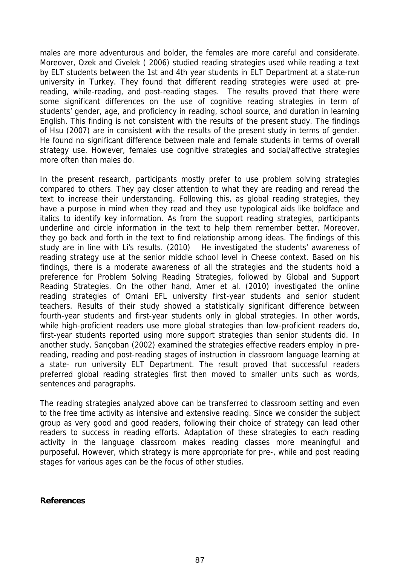males are more adventurous and bolder, the females are more careful and considerate. Moreover, Ozek and Civelek ( 2006) studied reading strategies used while reading a text by ELT students between the 1st and 4th year students in ELT Department at a state-run university in Turkey. They found that different reading strategies were used at prereading, while-reading, and post-reading stages. The results proved that there were some significant differences on the use of cognitive reading strategies in term of students' gender, age, and proficiency in reading, school source, and duration in learning English. This finding is not consistent with the results of the present study. The findings of Hsu (2007) are in consistent with the results of the present study in terms of gender. He found no significant difference between male and female students in terms of overall strategy use. However, females use cognitive strategies and social/affective strategies more often than males do.

In the present research, participants mostly prefer to use problem solving strategies compared to others. They pay closer attention to what they are reading and reread the text to increase their understanding. Following this, as global reading strategies, they have a purpose in mind when they read and they use typological aids like boldface and italics to identify key information. As from the support reading strategies, participants underline and circle information in the text to help them remember better. Moreover, they go back and forth in the text to find relationship among ideas. The findings of this study are in line with Li's results. (2010) He investigated the students' awareness of reading strategy use at the senior middle school level in Cheese context. Based on his findings, there is a moderate awareness of all the strategies and the students hold a preference for Problem Solving Reading Strategies, followed by Global and Support Reading Strategies. On the other hand, Amer et al. (2010) investigated the online reading strategies of Omani EFL university first-year students and senior student teachers. Results of their study showed a statistically significant difference between fourth-year students and first-year students only in global strategies. In other words, while high-proficient readers use more global strategies than low-proficient readers do, first-year students reported using more support strategies than senior students did. In another study, Sarıçoban (2002) examined the strategies effective readers employ in prereading, reading and post-reading stages of instruction in classroom language learning at a state- run university ELT Department. The result proved that successful readers preferred global reading strategies first then moved to smaller units such as words, sentences and paragraphs.

The reading strategies analyzed above can be transferred to classroom setting and even to the free time activity as intensive and extensive reading. Since we consider the subject group as very good and good readers, following their choice of strategy can lead other readers to success in reading efforts. Adaptation of these strategies to each reading activity in the language classroom makes reading classes more meaningful and purposeful. However, which strategy is more appropriate for pre-, while and post reading stages for various ages can be the focus of other studies.

**References**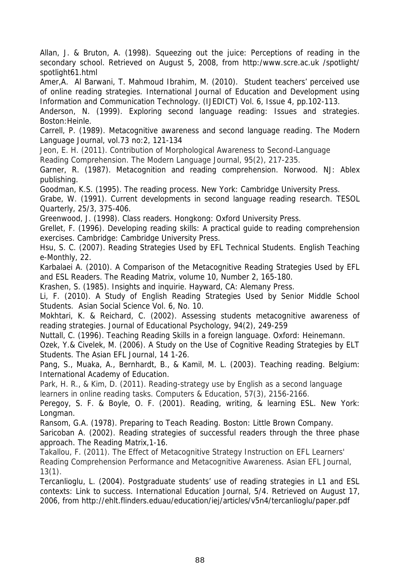Allan, J. & Bruton, A. (1998). Squeezing out the juice: Perceptions of reading in the secondary school. Retrieved on August 5, 2008, from http:/www.scre.ac.uk /spotlight/ spotlight61.html

Amer,A. Al Barwani, T. Mahmoud Ibrahim, M. (2010). Student teachers' perceived use of online reading strategies. *International Journal of Education and Development using Information and Communication Technology. (IJEDICT) Vol. 6*, Issue 4, pp.102-113.

Anderson, N. (1999). *Exploring second language reading: Issues and strategies*. Boston:Heinle.

Carrell, P. (1989). Metacognitive awareness and second language reading. *The Modern Language Journal, vol.73* no:2, 121-134

Jeon, E. H. (2011). Contribution of Morphological Awareness to Second‐Language Reading Comprehension. *The Modern Language Journal*, *95*(2), 217-235.

Garner, R. (1987). *Metacognition and reading comprehension.* Norwood. NJ: Ablex publishing.

Goodman, K.S. (1995). *The reading process.* New York: Cambridge University Press.

Grabe, W. (1991). Current developments in second language reading research. *TESOL Quarterly, 25/3*, 375-406.

Greenwood, J. (1998). *Class readers.* Hongkong: Oxford University Press.

Grellet, F. (1996). *Developing reading skills: A practical guide to reading comprehension exercises*. Cambridge: Cambridge University Press.

Hsu, S. C. (2007). Reading Strategies Used by EFL Technical Students. *English Teaching* e-Monthly, 22.

Karbalaei A. (2010). A Comparison of the Metacognitive Reading Strategies Used by EFL and ESL Readers. *The Reading Matrix, volume 10*, Number 2, 165-180.

Krashen, S. (1985). *Insights and inquirie.* Hayward, CA: Alemany Press.

Li, F. (2010). A Study of English Reading Strategies Used by Senior Middle School Students. *Asian Social Science Vol. 6*, No. 10.

Mokhtari, K. & Reichard, C. (2002). Assessing students metacognitive awareness of reading strategies*. Journal of Educational Psychology, 94(2)*, 249-259

Nuttall, C. (1996). *Teaching Reading Skills in a foreign language*. Oxford: Heinemann.

Ozek, Y.& Civelek, M. (2006). A Study on the Use of Cognitive Reading Strategies by ELT Students. *The Asian EFL Journal, 14* 1-26.

Pang, S., Muaka, A., Bernhardt, B., & Kamil, M. L. (2003). *Teaching reading.* Belgium: International Academy of Education.

Park, H. R., & Kim, D. (2011). Reading-strategy use by English as a second language learners in online reading tasks. *Computers & Education*, *57*(3), 2156-2166.

Peregoy, S. F. & Boyle, O. F. (2001). *Reading, writing, & learning ESL*. New York: Longman.

Ransom, G.A. (1978). *Preparing to Teach Reading.* Boston: Little Brown Company. Saricoban A. (2002). Reading strategies of successful readers through the three phase approach. *The Reading Matrix,1-16*.

Takallou, F. (2011). The Effect of Metacognitive Strategy Instruction on EFL Learners' Reading Comprehension Performance and Metacognitive Awareness. *Asian EFL Journal*, *13*(1).

Tercanlioglu, L. (2004). Postgraduate students' use of reading strategies in L1 and ESL contexts: Link to success. *International Education Journal, 5/4*. Retrieved on August 17, 2006, from http://ehlt.flinders.eduau/education/iej/articles/v5n4/tercanlioglu/paper.pdf